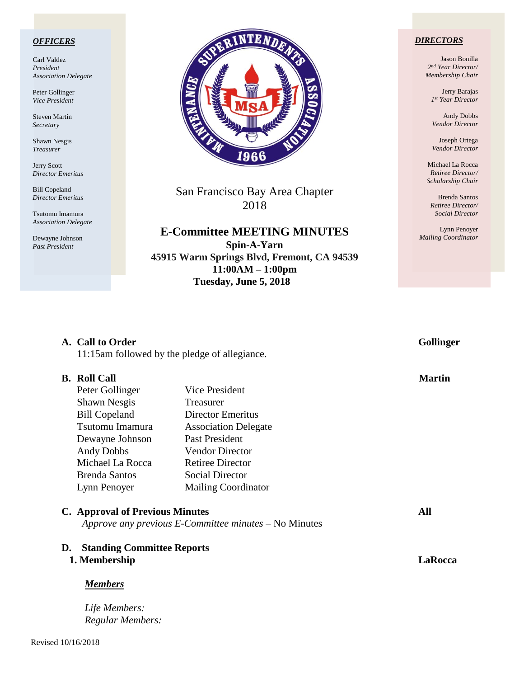#### *OFFICERS*

Carl Valdez *President Association Delegate*

Peter Gollinger *Vice President*

Steven Martin *Secretary*

Shawn Nesgis *Treasurer*

Jerry Scott *Director Emeritus*

Bill Copeland *Director Emeritus*

Tsutomu Imamura *Association Delegate*

Dewayne Johnson *Past President*



San Francisco Bay Area Chapter 2018

**E-Committee MEETING MINUTES Spin-A-Yarn 45915 Warm Springs Blvd, Fremont, CA 94539 11:00AM – 1:00pm Tuesday, June 5, 2018**

**A.** Call to Order Gollinger

#### *DIRECTORS*

Jason Bonilla *2nd Year Director/ Membership Chair*

> Jerry Barajas *1st Year Director*

Andy Dobbs *Vendor Director*

Joseph Ortega *Vendor Director*

Michael La Rocca *Retiree Director/ Scholarship Chair*

Brenda Santos *Retiree Director/ Social Director*

Lynn Penoyer *Mailing Coordinator*

# 11:15am followed by the pledge of allegiance. **B.** Roll Call Martin **Martin** Peter Gollinger Vice President Shawn Nesgis Treasurer Bill Copeland Director Emeritus Tsutomu Imamura Association Delegate Dewayne Johnson Past President Andy Dobbs Vendor Director Michael La Rocca Retiree Director Brenda Santos Social Director Lynn Penoyer Mailing Coordinator **C. Approval of Previous Minutes All** *Approve any previous E-Committee minutes –* No Minutes **D. Standing Committee Reports 1. Membership LaRocca** *Members Life Members: Regular Members:*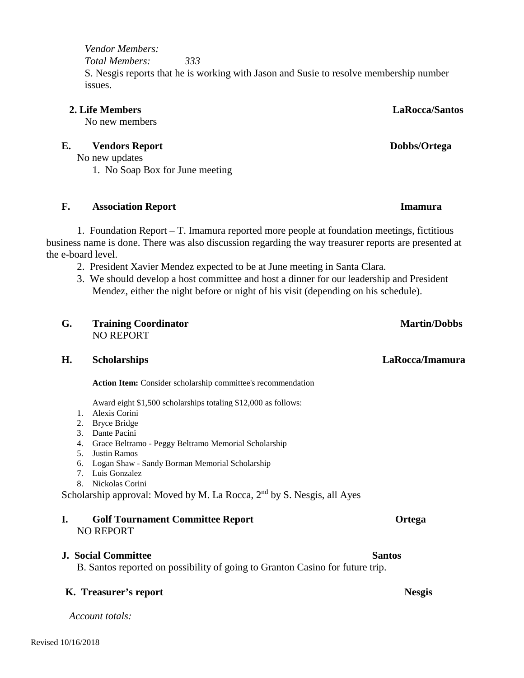#### *Vendor Members: Total Members: 333* S. Nesgis reports that he is working with Jason and Susie to resolve membership number issues.

#### **2. Life Members LaRocca/Santos**

No new members

#### **E.** Vendors Report Dobbs/Ortega

No new updates 1. No Soap Box for June meeting

#### **F. Association Report Imamura**

1. Foundation Report – T. Imamura reported more people at foundation meetings, fictitious business name is done. There was also discussion regarding the way treasurer reports are presented at the e-board level.

- 2. President Xavier Mendez expected to be at June meeting in Santa Clara.
- 3. We should develop a host committee and host a dinner for our leadership and President Mendez, either the night before or night of his visit (depending on his schedule).

#### **G. Training Coordinator Martin/Dobbs** NO REPORT

#### **H. Scholarships LaRocca/Imamura**

**Action Item:** Consider scholarship committee's recommendation

Award eight \$1,500 scholarships totaling \$12,000 as follows:

- 1. Alexis Corini
- 2. Bryce Bridge
- 3. Dante Pacini
- 4. Grace Beltramo Peggy Beltramo Memorial Scholarship
- 5. Justin Ramos
- 6. Logan Shaw Sandy Borman Memorial Scholarship
- 7. Luis Gonzalez
- 8. Nickolas Corini

Scholarship approval: Moved by M. La Rocca,  $2<sup>nd</sup>$  by S. Nesgis, all Ayes

#### **I. Golf Tournament Committee Report Ortega** NO REPORT

#### **J. Social Committee Santos Santos Committee Santos Santos Santos Santos Santos Santos Santos Santos Santos Santos Santos Santos Santos Santos Santos Santos Santos Santos Santos Santos Santos Santos Santos Santos Santos Sa**

B. Santos reported on possibility of going to Granton Casino for future trip.

#### **K. Treasurer's report Nesgis**

*Account totals:*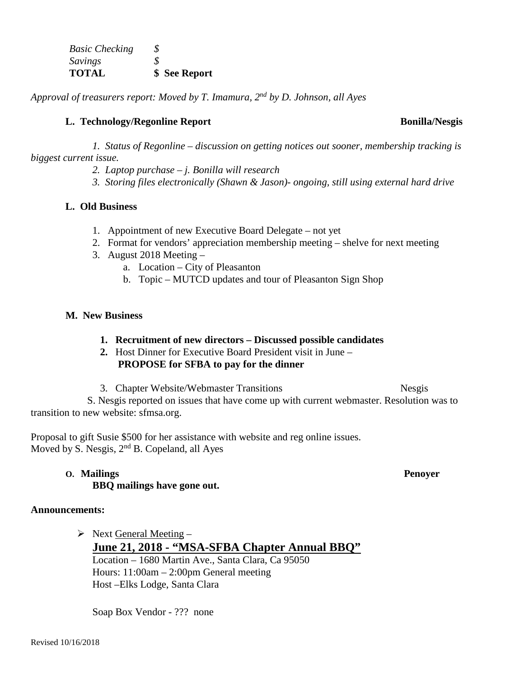| <b>Basic Checking</b> | S |               |
|-----------------------|---|---------------|
| Savings               | S |               |
| <b>TOTAL</b>          |   | \$ See Report |

*Approval of treasurers report: Moved by T. Imamura, 2nd by D. Johnson, all Ayes*

### **L. Technology/Regonline Report Bonilla/Nesgis**

*1. Status of Regonline – discussion on getting notices out sooner, membership tracking is biggest current issue.*

- *2. Laptop purchase – j. Bonilla will research*
- *3. Storing files electronically (Shawn & Jason)- ongoing, still using external hard drive*

### **L. Old Business**

- 1. Appointment of new Executive Board Delegate not yet
- 2. Format for vendors' appreciation membership meeting shelve for next meeting
- 3. August 2018 Meeting
	- a. Location City of Pleasanton
	- b. Topic MUTCD updates and tour of Pleasanton Sign Shop

### **M. New Business**

- **1. Recruitment of new directors – Discussed possible candidates**
- **2.** Host Dinner for Executive Board President visit in June **PROPOSE for SFBA to pay for the dinner**
- 3. Chapter Website/Webmaster Transitions Nesgis

 S. Nesgis reported on issues that have come up with current webmaster. Resolution was to transition to new website: sfmsa.org.

Proposal to gift Susie \$500 for her assistance with website and reg online issues. Moved by S. Nesgis, 2<sup>nd</sup> B. Copeland, all Ayes

## **O. Mailings Penoyer**

# **BBQ mailings have gone out.**

## **Announcements:**

 $\triangleright$  Next General Meeting – **June 21, 2018 - "MSA-SFBA Chapter Annual BBQ"** Location – 1680 Martin Ave., Santa Clara, Ca 95050 Hours: 11:00am – 2:00pm General meeting Host –Elks Lodge, Santa Clara

Soap Box Vendor - ??? none